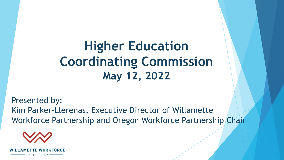**Higher Education Coordinating Commission May 12, 2022**

Presented by: Kim Parker-Llerenas, Executive Director of Willamette Workforce Partnership and Oregon Workforce Partnership Chair



PARTNERSHIF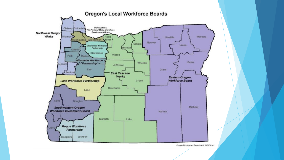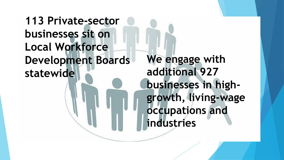## **113 Private-sector businesses sit on Local Workforce Development Boards statewide**

**We engage with additional 927 businesses in highgrowth, living-wage occupations and industries**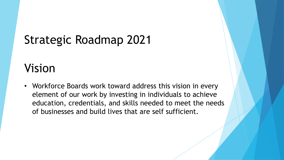# Strategic Roadmap 2021

## Vision

• Workforce Boards work toward address this vision in every element of our work by investing in individuals to achieve education, credentials, and skills needed to meet the needs of businesses and build lives that are self sufficient.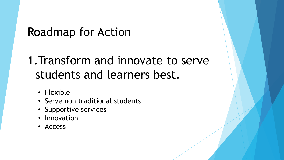# 1.Transform and innovate to serve students and learners best.

- Flexible
- Serve non traditional students
- Supportive services
- Innovation
- Access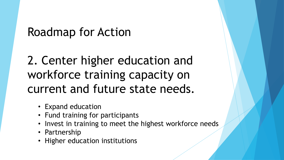2. Center higher education and workforce training capacity on current and future state needs.

- Expand education
- Fund training for participants
- Invest in training to meet the highest workforce needs
- Partnership
- Higher education institutions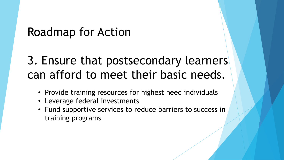# 3. Ensure that postsecondary learners can afford to meet their basic needs.

- Provide training resources for highest need individuals
- Leverage federal investments
- Fund supportive services to reduce barriers to success in training programs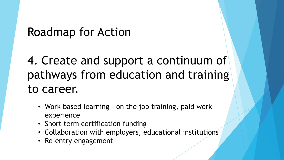4. Create and support a continuum of pathways from education and training to career.

- Work based learning on the job training, paid work experience
- Short term certification funding
- Collaboration with employers, educational institutions
- Re-entry engagement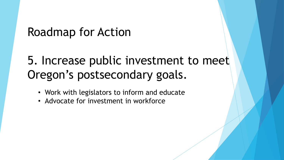# 5. Increase public investment to meet Oregon's postsecondary goals.

- Work with legislators to inform and educate
- Advocate for investment in workforce